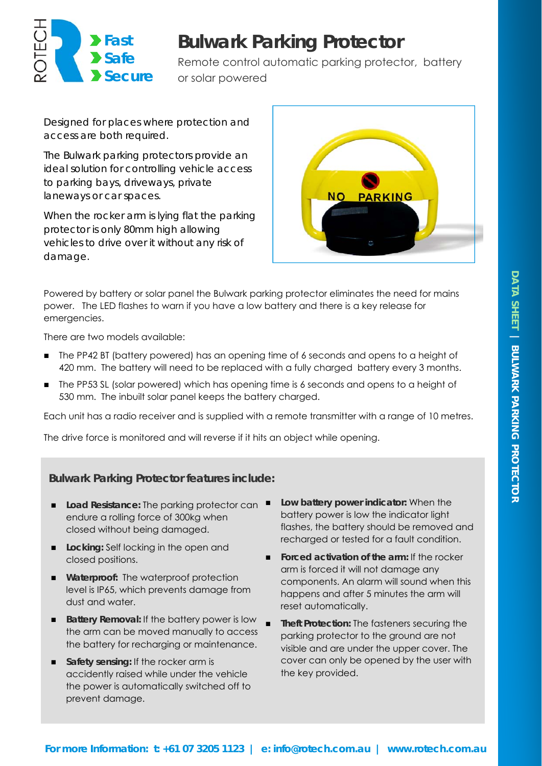

# **Bulwark Parking Protector**

Remote control automatic parking protector, battery or solar powered

*Designed for places where protection and access are both required.* 

*The Bulwark parking protectors provide an ideal solution for controlling vehicle access to parking bays, driveways, private laneways or car spaces.* 

*When the rocker arm is lying flat the parking protector is only 80mm high allowing vehicles to drive over it without any risk of damage.* 



Powered by battery or solar panel the Bulwark parking protector eliminates the need for mains power. The LED flashes to warn if you have a low battery and there is a key release for emergencies.

There are two models available:

- The PP42 BT (battery powered) has an opening time of 6 seconds and opens to a height of 420 mm. The battery will need to be replaced with a fully charged battery every 3 months.
- The PP53 SL (solar powered) which has opening time is 6 seconds and opens to a height of 530 mm. The inbuilt solar panel keeps the battery charged.

Each unit has a radio receiver and is supplied with a remote transmitter with a range of 10 metres.

The drive force is monitored and will reverse if it hits an object while opening.

**Bulwark Parking Protector features include:** 

- Load Resistance: The parking protector can endure a rolling force of 300kg when closed without being damaged.
- **Locking: Self locking in the open and** closed positions.
- **Waterproof:** The waterproof protection level is IP65, which prevents damage from dust and water.
- **Battery Removal: If the battery power is low** the arm can be moved manually to access the battery for recharging or maintenance.
- **Safety sensing: If the rocker arm is** accidently raised while under the vehicle the power is automatically switched off to prevent damage.
- **Low battery power indicator:** When the battery power is low the indicator light flashes, the battery should be removed and recharged or tested for a fault condition.
- **Forced activation of the arm:** If the rocker arm is forced it will not damage any components. An alarm will sound when this happens and after 5 minutes the arm will reset automatically.
- **Theft Protection:** The fasteners securing the parking protector to the ground are not visible and are under the upper cover. The cover can only be opened by the user with the key provided.